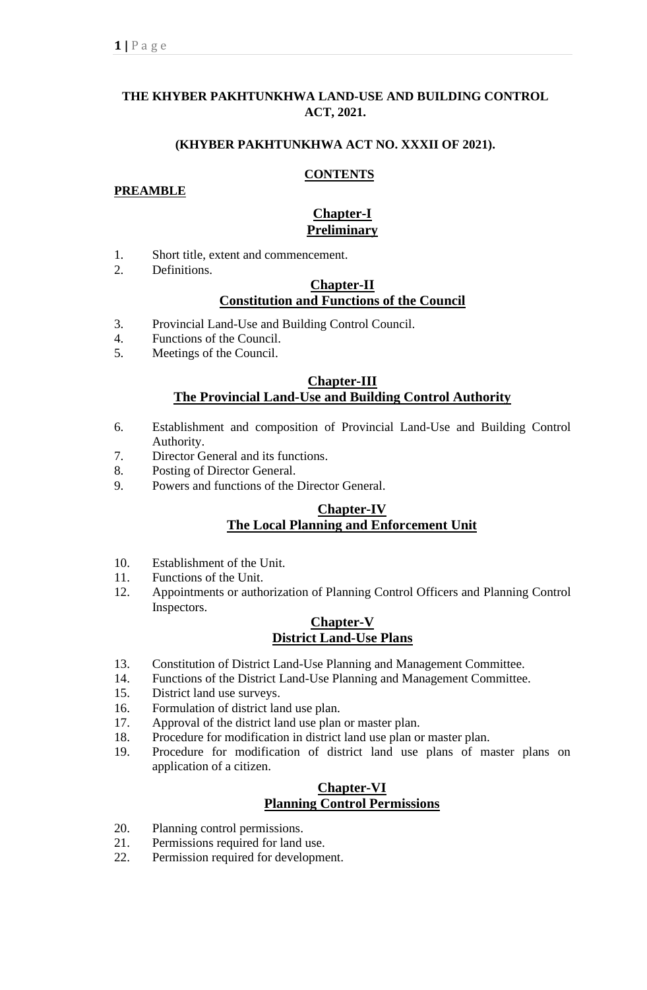## **THE KHYBER PAKHTUNKHWA LAND-USE AND BUILDING CONTROL ACT, 2021.**

#### **(KHYBER PAKHTUNKHWA ACT NO. XXXII OF 2021).**

#### **CONTENTS**

#### **PREAMBLE**

#### **Chapter-I Preliminary**

- 1. Short title, extent and commencement.
- 2. Definitions.

## **Chapter-II Constitution and Functions of the Council**

- 3. Provincial Land-Use and Building Control Council.
- 4. Functions of the Council.
- 5. Meetings of the Council.

### **Chapter-III The Provincial Land-Use and Building Control Authority**

- 6. Establishment and composition of Provincial Land-Use and Building Control Authority.
- 7. Director General and its functions.
- 8. Posting of Director General.
- 9. Powers and functions of the Director General.

### **Chapter-IV The Local Planning and Enforcement Unit**

- 10. Establishment of the Unit.
- 11. Functions of the Unit.
- 12. Appointments or authorization of Planning Control Officers and Planning Control Inspectors.

#### **Chapter-V District Land-Use Plans**

- 13. Constitution of District Land-Use Planning and Management Committee.
- 14. Functions of the District Land-Use Planning and Management Committee.
- 15. District land use surveys.
- 16. Formulation of district land use plan.
- 17. Approval of the district land use plan or master plan.
- 18. Procedure for modification in district land use plan or master plan.
- 19. Procedure for modification of district land use plans of master plans on application of a citizen.

### **Chapter-VI Planning Control Permissions**

- 20. Planning control permissions.
- 21. Permissions required for land use.
- 22. Permission required for development.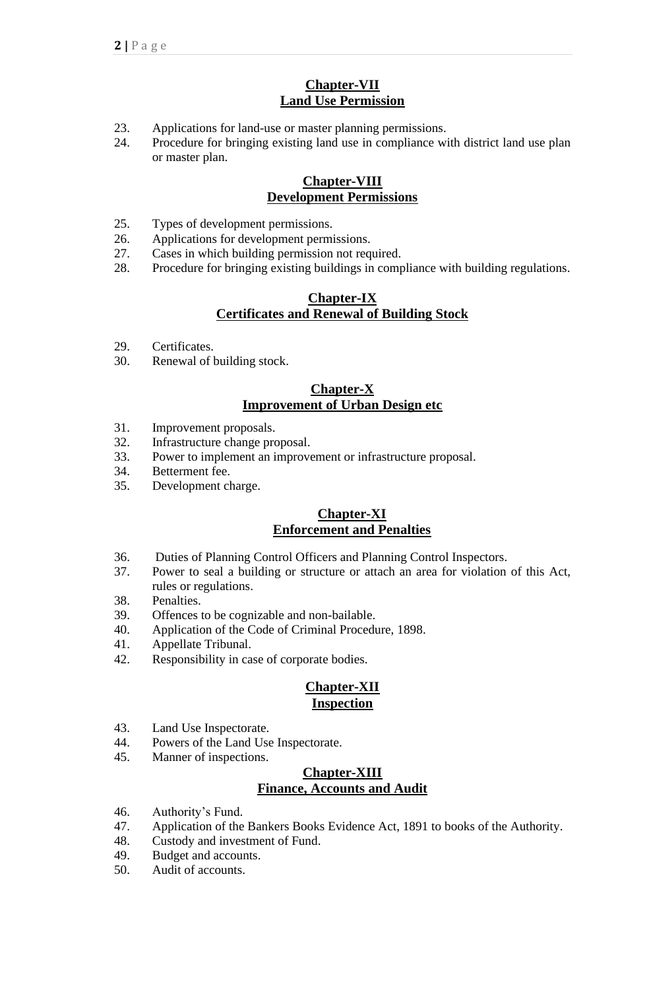## **Chapter-VII Land Use Permission**

- 23. Applications for land-use or master planning permissions.
- 24. Procedure for bringing existing land use in compliance with district land use plan or master plan.

## **Chapter-VIII Development Permissions**

- 25. Types of development permissions.
- 26. Applications for development permissions.
- 27. Cases in which building permission not required.
- 28. Procedure for bringing existing buildings in compliance with building regulations.

### **Chapter-IX Certificates and Renewal of Building Stock**

- 29. Certificates.
- 30. Renewal of building stock.

## **Chapter-X Improvement of Urban Design etc**

- 31. Improvement proposals.
- 32. Infrastructure change proposal.
- 33. Power to implement an improvement or infrastructure proposal.
- 34. Betterment fee.
- 35. Development charge.

## **Chapter-XI Enforcement and Penalties**

- 36. Duties of Planning Control Officers and Planning Control Inspectors.
- 37. Power to seal a building or structure or attach an area for violation of this Act, rules or regulations.
- 38. Penalties.
- 39. Offences to be cognizable and non-bailable.
- 40. Application of the Code of Criminal Procedure, 1898.
- 41. Appellate Tribunal.
- 42. Responsibility in case of corporate bodies.

### **Chapter-XII Inspection**

- 43. Land Use Inspectorate.
- 44. Powers of the Land Use Inspectorate.
- 45. Manner of inspections.

## **Chapter-XIII Finance, Accounts and Audit**

- 46. Authority's Fund.
- 47. Application of the Bankers Books Evidence Act, 1891 to books of the Authority.
- 48. Custody and investment of Fund.
- 49. Budget and accounts.
- 50. Audit of accounts.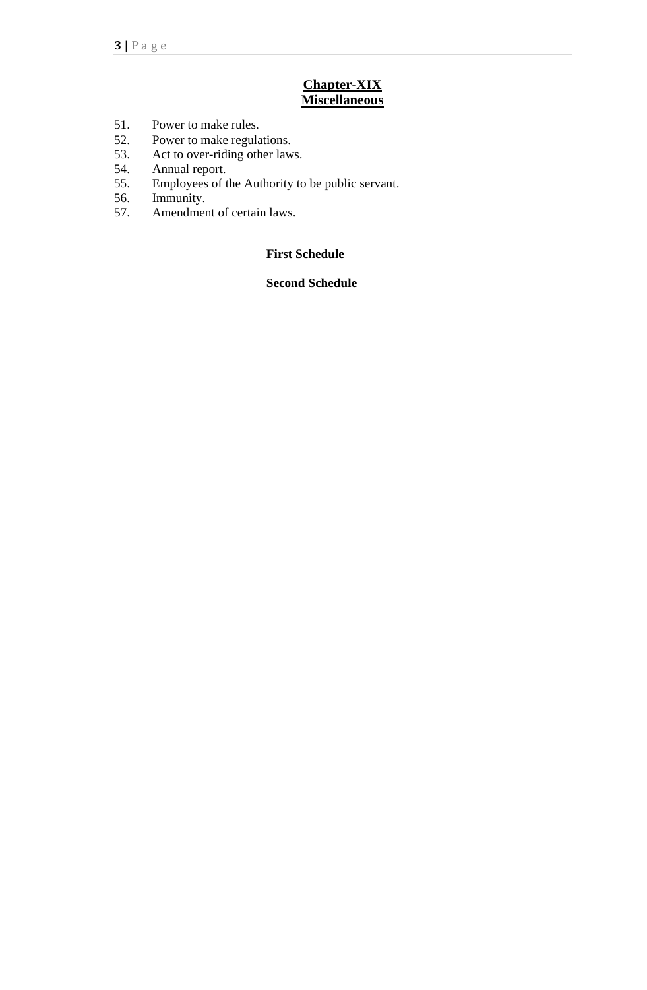### **Chapter-XIX Miscellaneous**

- 51. Power to make rules.
- 52. Power to make regulations.
- 53. Act to over-riding other laws.
- 54. Annual report.<br>55. Employees of t
- Employees of the Authority to be public servant.
- 56. Immunity.
- 57. Amendment of certain laws.

## **First Schedule**

### **Second Schedule**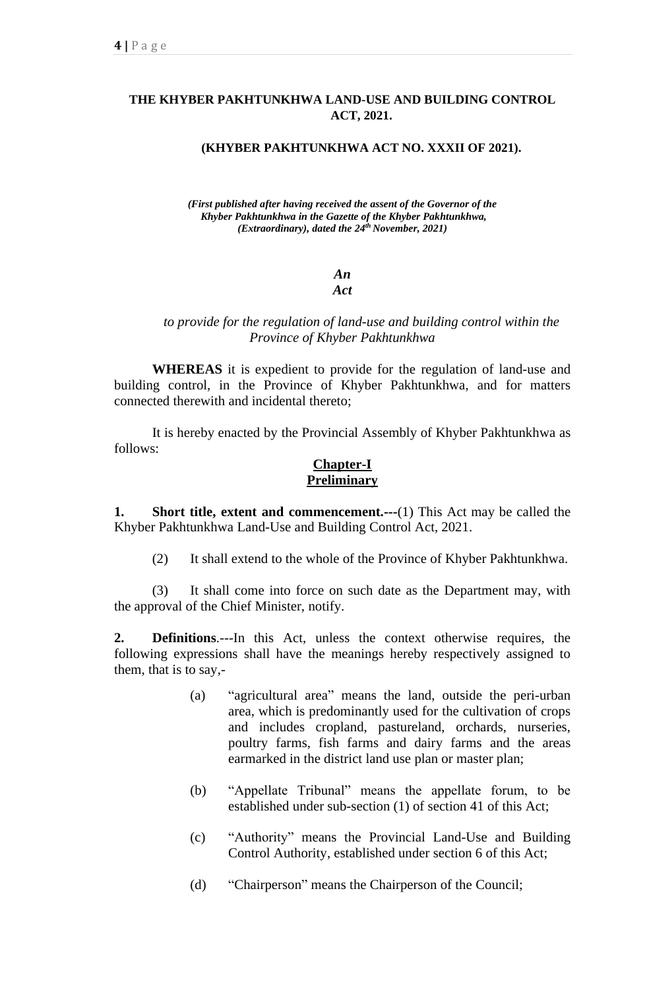### **THE KHYBER PAKHTUNKHWA LAND-USE AND BUILDING CONTROL ACT, 2021.**

#### **(KHYBER PAKHTUNKHWA ACT NO. XXXII OF 2021).**

*(First published after having received the assent of the Governor of the Khyber Pakhtunkhwa in the Gazette of the Khyber Pakhtunkhwa, (Extraordinary), dated the 24 th November, 2021)*

> *An Act*

### *to provide for the regulation of land-use and building control within the Province of Khyber Pakhtunkhwa*

**WHEREAS** it is expedient to provide for the regulation of land-use and building control, in the Province of Khyber Pakhtunkhwa, and for matters connected therewith and incidental thereto;

It is hereby enacted by the Provincial Assembly of Khyber Pakhtunkhwa as follows:

### **Chapter-I Preliminary**

**1. Short title, extent and commencement.---**(1) This Act may be called the Khyber Pakhtunkhwa Land-Use and Building Control Act, 2021.

(2) It shall extend to the whole of the Province of Khyber Pakhtunkhwa.

(3) It shall come into force on such date as the Department may, with the approval of the Chief Minister, notify.

**2. Definitions**.---In this Act, unless the context otherwise requires, the following expressions shall have the meanings hereby respectively assigned to them, that is to say,-

- (a) "agricultural area" means the land, outside the peri-urban area, which is predominantly used for the cultivation of crops and includes cropland, pastureland, orchards, nurseries, poultry farms, fish farms and dairy farms and the areas earmarked in the district land use plan or master plan;
- (b) "Appellate Tribunal" means the appellate forum, to be established under sub-section (1) of section 41 of this Act;
- (c) "Authority" means the Provincial Land-Use and Building Control Authority, established under section 6 of this Act;
- (d) "Chairperson" means the Chairperson of the Council;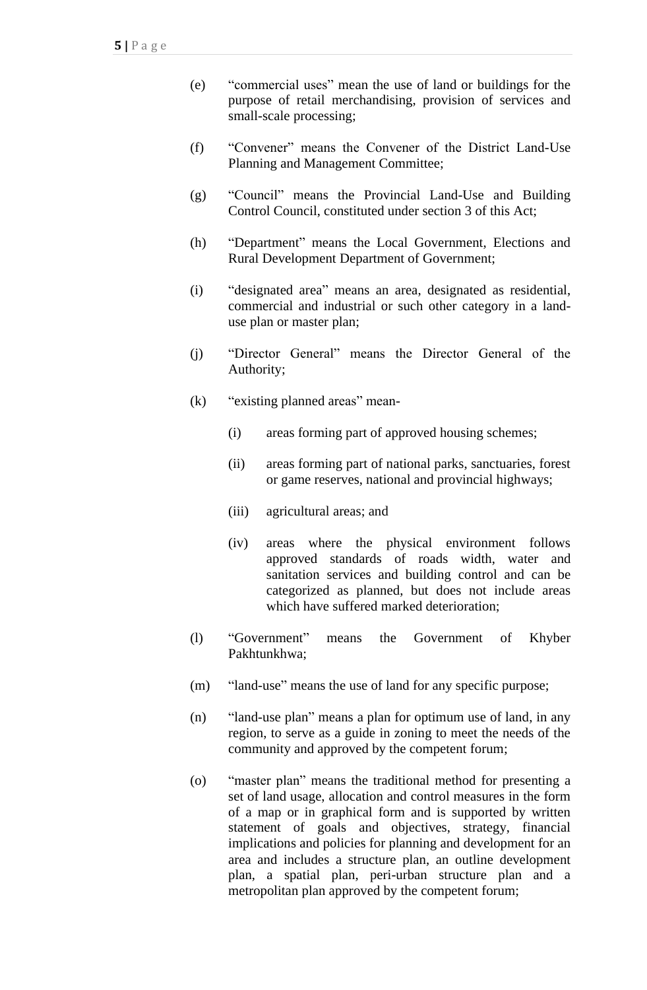- (e) "commercial uses" mean the use of land or buildings for the purpose of retail merchandising, provision of services and small-scale processing;
- (f) "Convener" means the Convener of the District Land-Use Planning and Management Committee;
- (g) "Council" means the Provincial Land-Use and Building Control Council, constituted under section 3 of this Act;
- (h) "Department" means the Local Government, Elections and Rural Development Department of Government;
- (i) "designated area" means an area, designated as residential, commercial and industrial or such other category in a landuse plan or master plan;
- (j) "Director General" means the Director General of the Authority;
- (k) "existing planned areas" mean-
	- (i) areas forming part of approved housing schemes;
	- (ii) areas forming part of national parks, sanctuaries, forest or game reserves, national and provincial highways;
	- (iii) agricultural areas; and
	- (iv) areas where the physical environment follows approved standards of roads width, water and sanitation services and building control and can be categorized as planned, but does not include areas which have suffered marked deterioration;
- (l) "Government" means the Government of Khyber Pakhtunkhwa;
- (m) "land-use" means the use of land for any specific purpose;
- (n) "land-use plan" means a plan for optimum use of land, in any region, to serve as a guide in zoning to meet the needs of the community and approved by the competent forum;
- (o) "master plan" means the traditional method for presenting a set of land usage, allocation and control measures in the form of a map or in graphical form and is supported by written statement of goals and objectives, strategy, financial implications and policies for planning and development for an area and includes a structure plan, an outline development plan, a spatial plan, peri-urban structure plan and a metropolitan plan approved by the competent forum;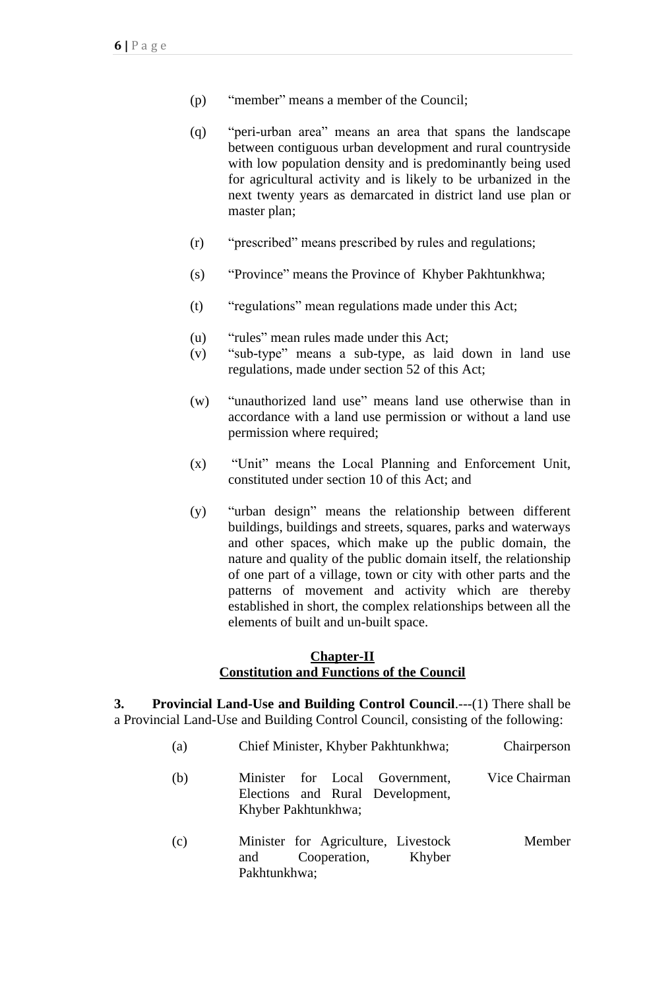- (p) "member" means a member of the Council;
- (q) "peri-urban area" means an area that spans the landscape between contiguous urban development and rural countryside with low population density and is predominantly being used for agricultural activity and is likely to be urbanized in the next twenty years as demarcated in district land use plan or master plan;
- (r) "prescribed" means prescribed by rules and regulations;
- (s) "Province" means the Province of Khyber Pakhtunkhwa;
- (t) "regulations" mean regulations made under this Act;
- (u) "rules" mean rules made under this Act;
- (v) "sub-type" means a sub-type, as laid down in land use regulations, made under section 52 of this Act;
- (w) "unauthorized land use" means land use otherwise than in accordance with a land use permission or without a land use permission where required;
- (x) "Unit" means the Local Planning and Enforcement Unit, constituted under section 10 of this Act; and
- (y) "urban design" means the relationship between different buildings, buildings and streets, squares, parks and waterways and other spaces, which make up the public domain, the nature and quality of the public domain itself, the relationship of one part of a village, town or city with other parts and the patterns of movement and activity which are thereby established in short, the complex relationships between all the elements of built and un-built space.

## **Chapter-II Constitution and Functions of the Council**

**3. Provincial Land-Use and Building Control Council**.---(1) There shall be a Provincial Land-Use and Building Control Council, consisting of the following:

| (a) | Chief Minister, Khyber Pakhtunkhwa;                                                       | Chairperson   |
|-----|-------------------------------------------------------------------------------------------|---------------|
| (b) | Minister for Local Government,<br>Elections and Rural Development,<br>Khyber Pakhtunkhwa; | Vice Chairman |
| (c) | Minister for Agriculture, Livestock<br>Cooperation,<br>Khyber<br>and<br>Pakhtunkhwa;      | Member        |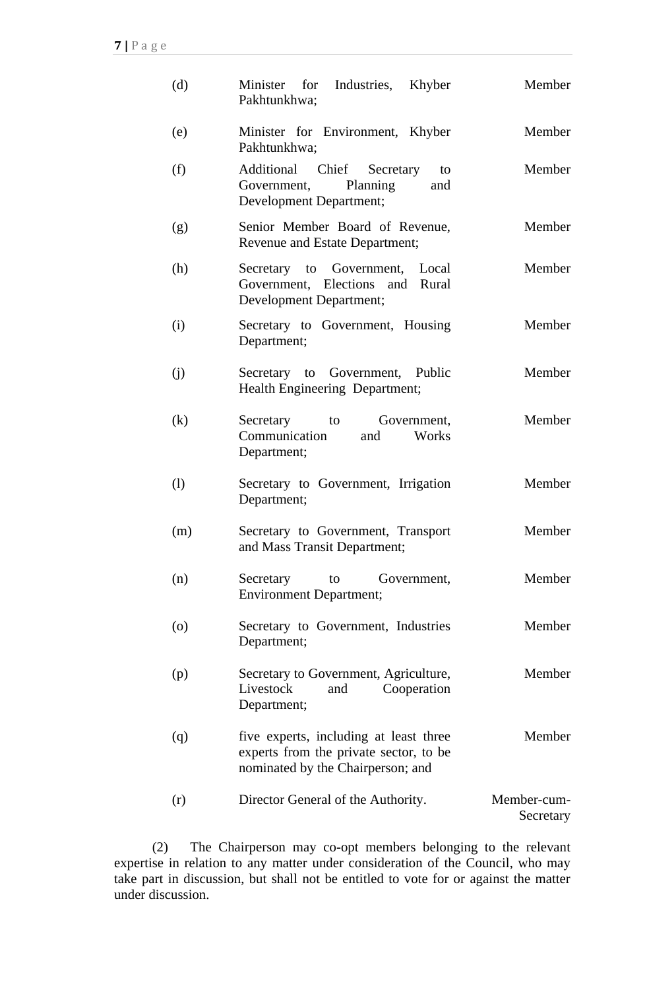| (d)                | Minister for Industries, Khyber<br>Pakhtunkhwa;                                                                       | Member                   |
|--------------------|-----------------------------------------------------------------------------------------------------------------------|--------------------------|
| (e)                | Minister for Environment, Khyber<br>Pakhtunkhwa;                                                                      | Member                   |
| (f)                | Additional Chief Secretary<br>to<br>Planning<br>Government,<br>and<br><b>Development Department;</b>                  | Member                   |
| (g)                | Senior Member Board of Revenue,<br>Revenue and Estate Department;                                                     | Member                   |
| (h)                | Secretary to Government, Local<br>Government, Elections and Rural<br>Development Department;                          | Member                   |
| (i)                | Secretary to Government, Housing<br>Department;                                                                       | Member                   |
| (j)                | Secretary to Government, Public<br>Health Engineering Department;                                                     | Member                   |
| (k)                | Secretary<br>Government,<br>to<br>Communication<br>and<br>Works<br>Department;                                        | Member                   |
| (1)                | Secretary to Government, Irrigation<br>Department;                                                                    | Member                   |
| (m)                | Secretary to Government, Transport<br>and Mass Transit Department;                                                    | Member                   |
| (n)                | Secretary<br>Government,<br>to<br><b>Environment Department;</b>                                                      | Member                   |
| $\left( 0 \right)$ | Secretary to Government, Industries<br>Department;                                                                    | Member                   |
| (p)                | Secretary to Government, Agriculture,<br>Livestock<br>and<br>Cooperation<br>Department;                               | Member                   |
| (q)                | five experts, including at least three<br>experts from the private sector, to be<br>nominated by the Chairperson; and | Member                   |
| (r)                | Director General of the Authority.                                                                                    | Member-cum-<br>Secretary |

(2) The Chairperson may co-opt members belonging to the relevant expertise in relation to any matter under consideration of the Council, who may take part in discussion, but shall not be entitled to vote for or against the matter under discussion.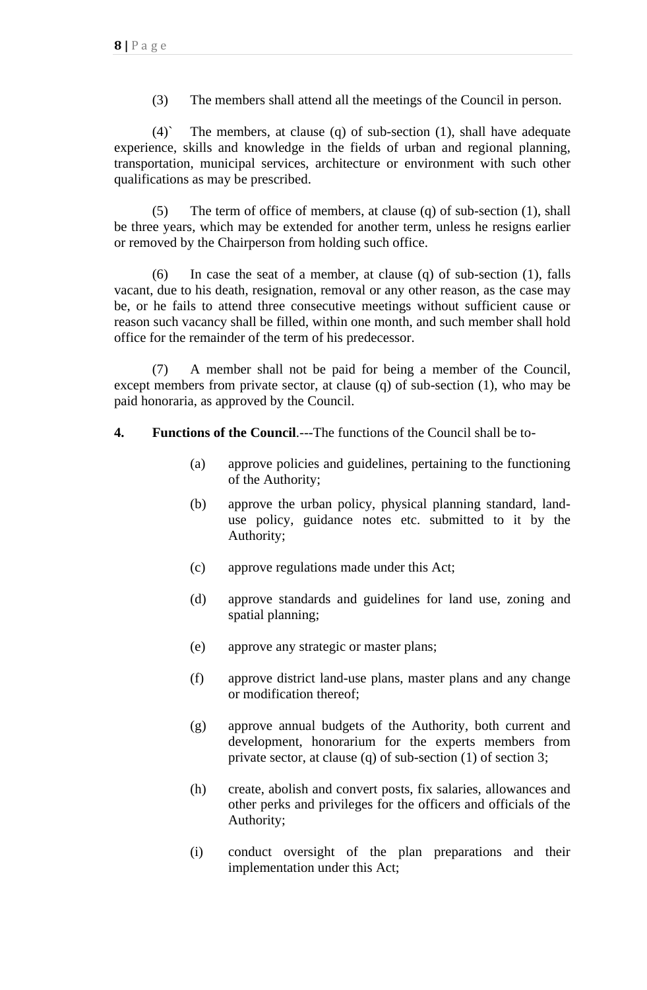(3) The members shall attend all the meetings of the Council in person.

 $(4)$  The members, at clause  $(q)$  of sub-section  $(1)$ , shall have adequate experience, skills and knowledge in the fields of urban and regional planning, transportation, municipal services, architecture or environment with such other qualifications as may be prescribed.

(5) The term of office of members, at clause (q) of sub-section (1), shall be three years, which may be extended for another term, unless he resigns earlier or removed by the Chairperson from holding such office.

(6) In case the seat of a member, at clause (q) of sub-section (1), falls vacant, due to his death, resignation, removal or any other reason, as the case may be, or he fails to attend three consecutive meetings without sufficient cause or reason such vacancy shall be filled, within one month, and such member shall hold office for the remainder of the term of his predecessor.

(7) A member shall not be paid for being a member of the Council, except members from private sector, at clause (q) of sub-section (1), who may be paid honoraria, as approved by the Council.

- **4. Functions of the Council**.---The functions of the Council shall be to-
	- (a) approve policies and guidelines, pertaining to the functioning of the Authority;
	- (b) approve the urban policy, physical planning standard, landuse policy, guidance notes etc. submitted to it by the Authority;
	- (c) approve regulations made under this Act;
	- (d) approve standards and guidelines for land use, zoning and spatial planning;
	- (e) approve any strategic or master plans;
	- (f) approve district land-use plans, master plans and any change or modification thereof;
	- (g) approve annual budgets of the Authority, both current and development, honorarium for the experts members from private sector, at clause (q) of sub-section (1) of section 3;
	- (h) create, abolish and convert posts, fix salaries, allowances and other perks and privileges for the officers and officials of the Authority;
	- (i) conduct oversight of the plan preparations and their implementation under this Act;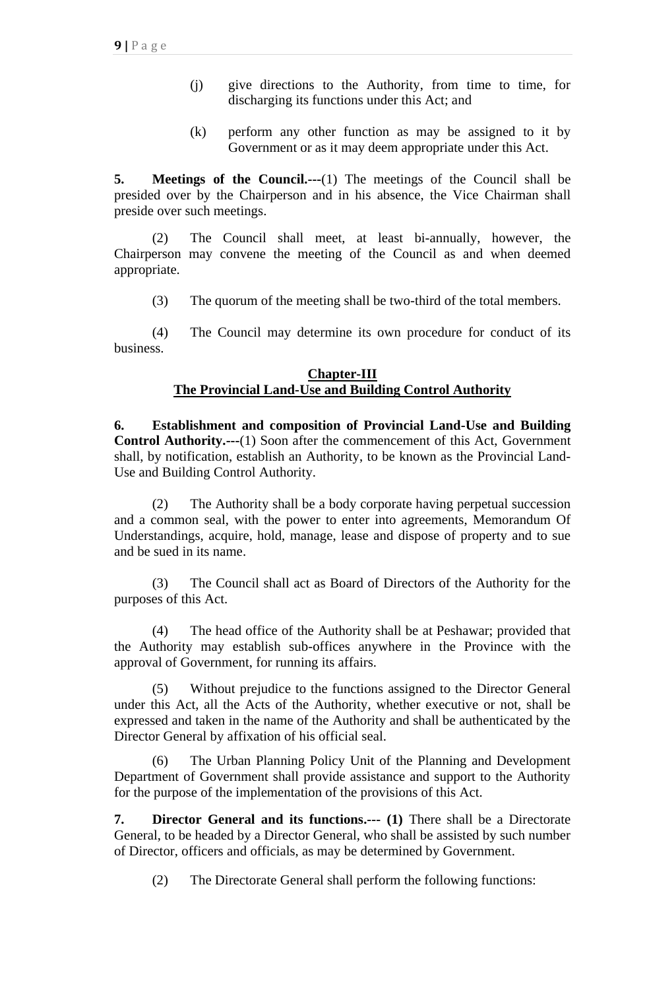- (j) give directions to the Authority, from time to time, for discharging its functions under this Act; and
- (k) perform any other function as may be assigned to it by Government or as it may deem appropriate under this Act.

**5. Meetings of the Council.---**(1) The meetings of the Council shall be presided over by the Chairperson and in his absence, the Vice Chairman shall preside over such meetings.

(2) The Council shall meet, at least bi-annually, however, the Chairperson may convene the meeting of the Council as and when deemed appropriate.

(3) The quorum of the meeting shall be two-third of the total members.

(4) The Council may determine its own procedure for conduct of its business.

### **Chapter-III The Provincial Land-Use and Building Control Authority**

**6. Establishment and composition of Provincial Land-Use and Building Control Authority.---**(1) Soon after the commencement of this Act, Government shall, by notification, establish an Authority, to be known as the Provincial Land-Use and Building Control Authority.

(2) The Authority shall be a body corporate having perpetual succession and a common seal, with the power to enter into agreements, Memorandum Of Understandings, acquire, hold, manage, lease and dispose of property and to sue and be sued in its name.

(3) The Council shall act as Board of Directors of the Authority for the purposes of this Act.

(4) The head office of the Authority shall be at Peshawar; provided that the Authority may establish sub-offices anywhere in the Province with the approval of Government, for running its affairs.

(5) Without prejudice to the functions assigned to the Director General under this Act, all the Acts of the Authority, whether executive or not, shall be expressed and taken in the name of the Authority and shall be authenticated by the Director General by affixation of his official seal.

The Urban Planning Policy Unit of the Planning and Development Department of Government shall provide assistance and support to the Authority for the purpose of the implementation of the provisions of this Act.

**7. Director General and its functions.--- (1)** There shall be a Directorate General, to be headed by a Director General, who shall be assisted by such number of Director, officers and officials, as may be determined by Government.

(2) The Directorate General shall perform the following functions: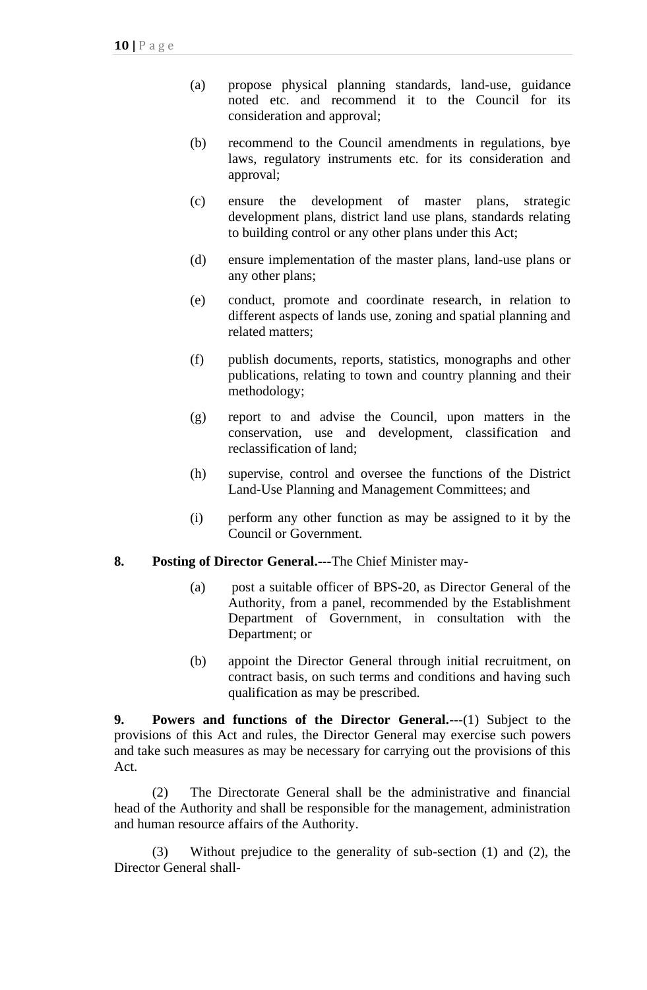- (a) propose physical planning standards, land-use, guidance noted etc. and recommend it to the Council for its consideration and approval;
- (b) recommend to the Council amendments in regulations, bye laws, regulatory instruments etc. for its consideration and approval;
- (c) ensure the development of master plans, strategic development plans, district land use plans, standards relating to building control or any other plans under this Act;
- (d) ensure implementation of the master plans, land-use plans or any other plans;
- (e) conduct, promote and coordinate research, in relation to different aspects of lands use, zoning and spatial planning and related matters;
- (f) publish documents, reports, statistics, monographs and other publications, relating to town and country planning and their methodology;
- (g) report to and advise the Council, upon matters in the conservation, use and development, classification and reclassification of land;
- (h) supervise, control and oversee the functions of the District Land-Use Planning and Management Committees; and
- (i) perform any other function as may be assigned to it by the Council or Government.
- **8. Posting of Director General.---**The Chief Minister may-
	- (a) post a suitable officer of BPS-20, as Director General of the Authority, from a panel, recommended by the Establishment Department of Government, in consultation with the Department; or
	- (b) appoint the Director General through initial recruitment, on contract basis, on such terms and conditions and having such qualification as may be prescribed.

**9. Powers and functions of the Director General.---**(1) Subject to the provisions of this Act and rules, the Director General may exercise such powers and take such measures as may be necessary for carrying out the provisions of this Act.

(2) The Directorate General shall be the administrative and financial head of the Authority and shall be responsible for the management, administration and human resource affairs of the Authority.

(3) Without prejudice to the generality of sub-section (1) and (2), the Director General shall-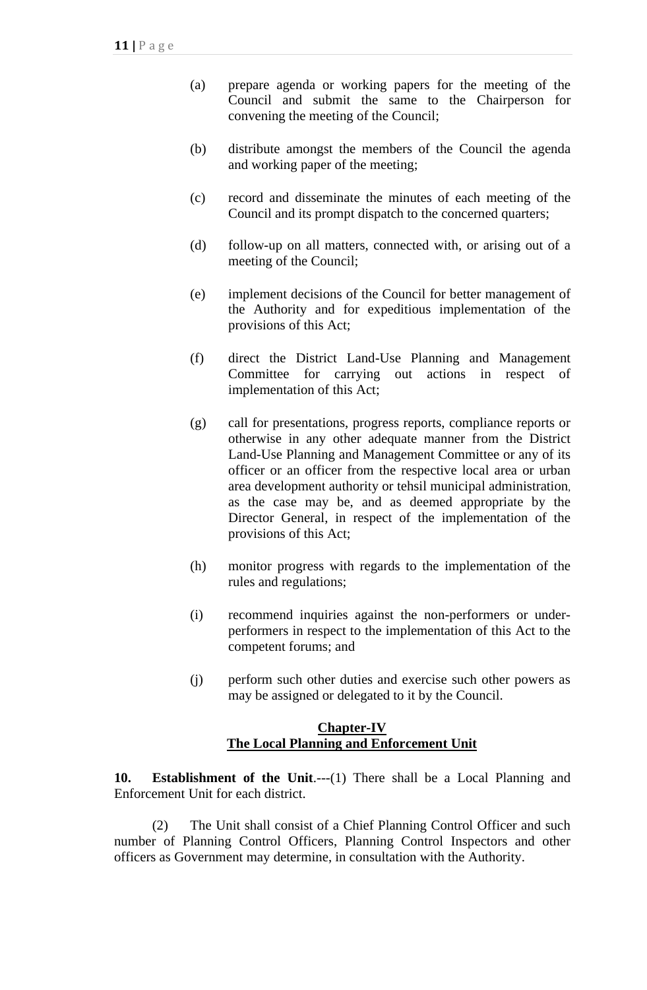- (a) prepare agenda or working papers for the meeting of the Council and submit the same to the Chairperson for convening the meeting of the Council;
- (b) distribute amongst the members of the Council the agenda and working paper of the meeting;
- (c) record and disseminate the minutes of each meeting of the Council and its prompt dispatch to the concerned quarters;
- (d) follow-up on all matters, connected with, or arising out of a meeting of the Council;
- (e) implement decisions of the Council for better management of the Authority and for expeditious implementation of the provisions of this Act;
- (f) direct the District Land-Use Planning and Management Committee for carrying out actions in respect of implementation of this Act;
- (g) call for presentations, progress reports, compliance reports or otherwise in any other adequate manner from the District Land-Use Planning and Management Committee or any of its officer or an officer from the respective local area or urban area development authority or tehsil municipal administration, as the case may be, and as deemed appropriate by the Director General, in respect of the implementation of the provisions of this Act;
- (h) monitor progress with regards to the implementation of the rules and regulations;
- (i) recommend inquiries against the non-performers or underperformers in respect to the implementation of this Act to the competent forums; and
- (j) perform such other duties and exercise such other powers as may be assigned or delegated to it by the Council.

### **Chapter-IV The Local Planning and Enforcement Unit**

**10. Establishment of the Unit**.---(1) There shall be a Local Planning and Enforcement Unit for each district.

(2) The Unit shall consist of a Chief Planning Control Officer and such number of Planning Control Officers, Planning Control Inspectors and other officers as Government may determine, in consultation with the Authority.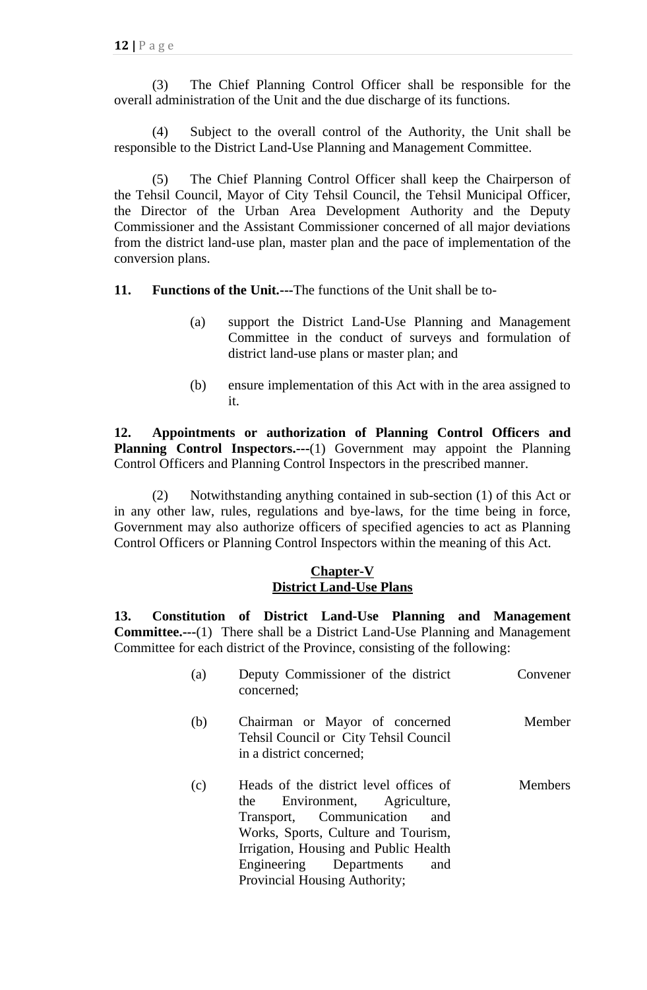(3) The Chief Planning Control Officer shall be responsible for the overall administration of the Unit and the due discharge of its functions.

(4) Subject to the overall control of the Authority, the Unit shall be responsible to the District Land-Use Planning and Management Committee.

(5) The Chief Planning Control Officer shall keep the Chairperson of the Tehsil Council, Mayor of City Tehsil Council, the Tehsil Municipal Officer, the Director of the Urban Area Development Authority and the Deputy Commissioner and the Assistant Commissioner concerned of all major deviations from the district land-use plan, master plan and the pace of implementation of the conversion plans.

**11. Functions of the Unit.---**The functions of the Unit shall be to-

- (a) support the District Land-Use Planning and Management Committee in the conduct of surveys and formulation of district land-use plans or master plan; and
- (b) ensure implementation of this Act with in the area assigned to it.

**12. Appointments or authorization of Planning Control Officers and Planning Control Inspectors.---**(1) Government may appoint the Planning Control Officers and Planning Control Inspectors in the prescribed manner.

(2) Notwithstanding anything contained in sub-section (1) of this Act or in any other law, rules, regulations and bye-laws, for the time being in force, Government may also authorize officers of specified agencies to act as Planning Control Officers or Planning Control Inspectors within the meaning of this Act.

### **Chapter-V District Land-Use Plans**

**13. Constitution of District Land-Use Planning and Management Committee.---**(1) There shall be a District Land-Use Planning and Management Committee for each district of the Province, consisting of the following:

| (a) | Deputy Commissioner of the district<br>concerned;                                                                                                                                                                                                                | Convener       |
|-----|------------------------------------------------------------------------------------------------------------------------------------------------------------------------------------------------------------------------------------------------------------------|----------------|
| (b) | Chairman or Mayor of concerned<br>Tehsil Council or City Tehsil Council<br>in a district concerned;                                                                                                                                                              | Member         |
| (c) | Heads of the district level offices of<br>Environment, Agriculture,<br>the<br>Transport, Communication<br>and<br>Works, Sports, Culture and Tourism,<br>Irrigation, Housing and Public Health<br>Engineering Departments<br>and<br>Provincial Housing Authority; | <b>Members</b> |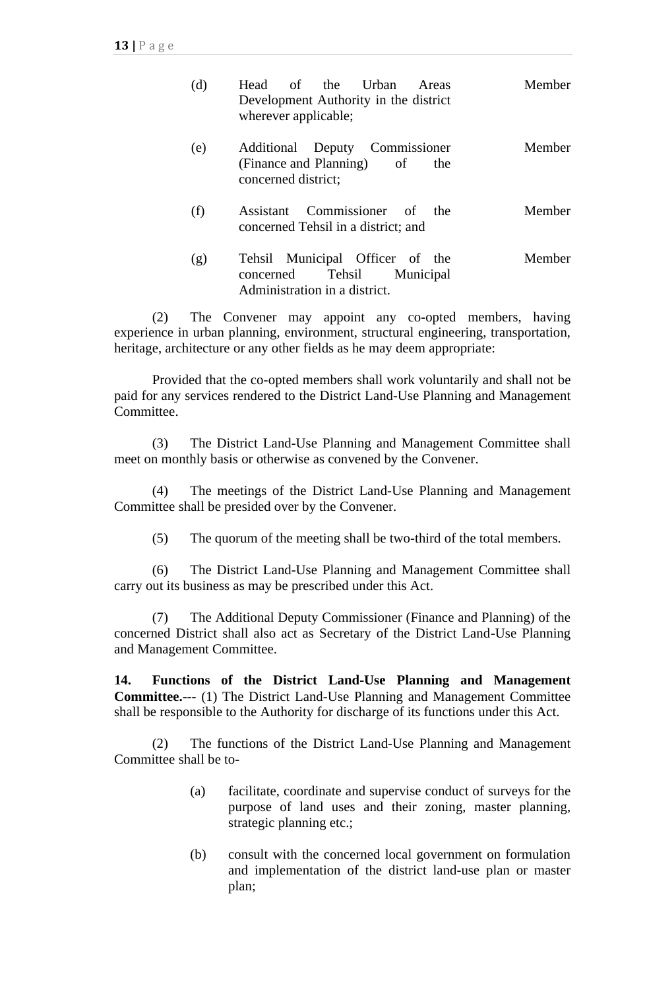| (d) | Head of the Urban Areas<br>Development Authority in the district<br>wherever applicable;             | Member |
|-----|------------------------------------------------------------------------------------------------------|--------|
| (e) | Additional Deputy Commissioner<br>(Finance and Planning) of<br>the<br>concerned district;            | Member |
| (f) | Assistant Commissioner of the<br>concerned Tehsil in a district; and                                 | Member |
| (g) | Tehsil Municipal Officer of the<br>Tehsil<br>concerned<br>Municipal<br>Administration in a district. | Member |

(2) The Convener may appoint any co-opted members, having experience in urban planning, environment, structural engineering, transportation, heritage, architecture or any other fields as he may deem appropriate:

Provided that the co-opted members shall work voluntarily and shall not be paid for any services rendered to the District Land-Use Planning and Management Committee.

(3) The District Land-Use Planning and Management Committee shall meet on monthly basis or otherwise as convened by the Convener.

(4) The meetings of the District Land-Use Planning and Management Committee shall be presided over by the Convener.

(5) The quorum of the meeting shall be two-third of the total members.

(6) The District Land-Use Planning and Management Committee shall carry out its business as may be prescribed under this Act.

(7) The Additional Deputy Commissioner (Finance and Planning) of the concerned District shall also act as Secretary of the District Land-Use Planning and Management Committee.

**14. Functions of the District Land-Use Planning and Management Committee.---** (1) The District Land-Use Planning and Management Committee shall be responsible to the Authority for discharge of its functions under this Act.

(2) The functions of the District Land-Use Planning and Management Committee shall be to-

- (a) facilitate, coordinate and supervise conduct of surveys for the purpose of land uses and their zoning, master planning, strategic planning etc.;
- (b) consult with the concerned local government on formulation and implementation of the district land-use plan or master plan;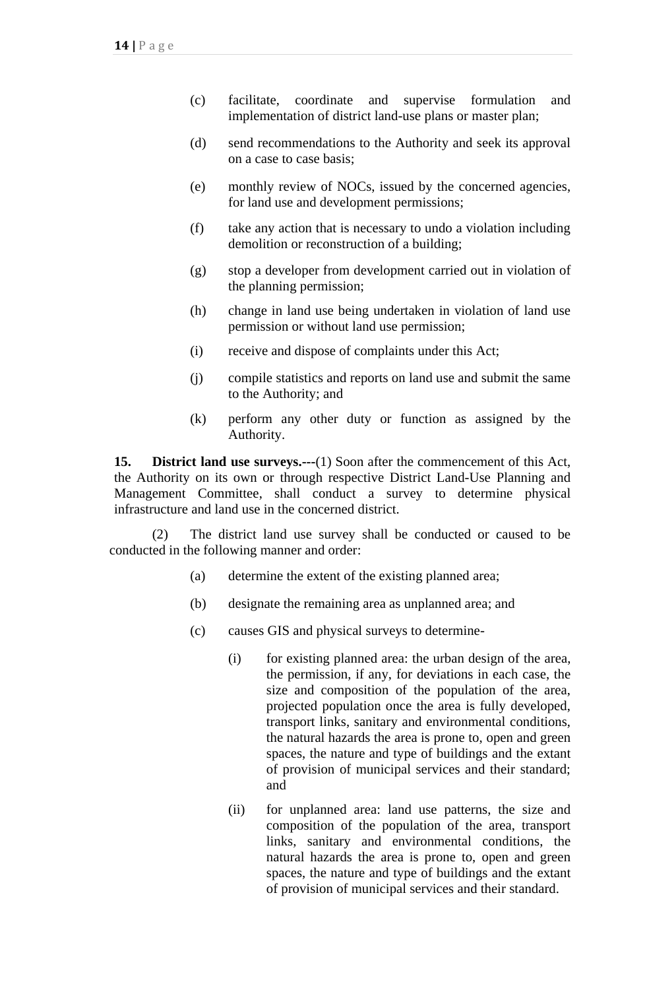- (c) facilitate, coordinate and supervise formulation and implementation of district land-use plans or master plan;
- (d) send recommendations to the Authority and seek its approval on a case to case basis;
- (e) monthly review of NOCs, issued by the concerned agencies, for land use and development permissions;
- (f) take any action that is necessary to undo a violation including demolition or reconstruction of a building;
- (g) stop a developer from development carried out in violation of the planning permission;
- (h) change in land use being undertaken in violation of land use permission or without land use permission;
- (i) receive and dispose of complaints under this Act;
- (j) compile statistics and reports on land use and submit the same to the Authority; and
- (k) perform any other duty or function as assigned by the Authority.

**15. District land use surveys.---**(1) Soon after the commencement of this Act, the Authority on its own or through respective District Land-Use Planning and Management Committee, shall conduct a survey to determine physical infrastructure and land use in the concerned district.

(2) The district land use survey shall be conducted or caused to be conducted in the following manner and order:

- (a) determine the extent of the existing planned area;
- (b) designate the remaining area as unplanned area; and
- (c) causes GIS and physical surveys to determine-
	- (i) for existing planned area: the urban design of the area, the permission, if any, for deviations in each case, the size and composition of the population of the area, projected population once the area is fully developed, transport links, sanitary and environmental conditions, the natural hazards the area is prone to, open and green spaces, the nature and type of buildings and the extant of provision of municipal services and their standard; and
	- (ii) for unplanned area: land use patterns, the size and composition of the population of the area, transport links, sanitary and environmental conditions, the natural hazards the area is prone to, open and green spaces, the nature and type of buildings and the extant of provision of municipal services and their standard.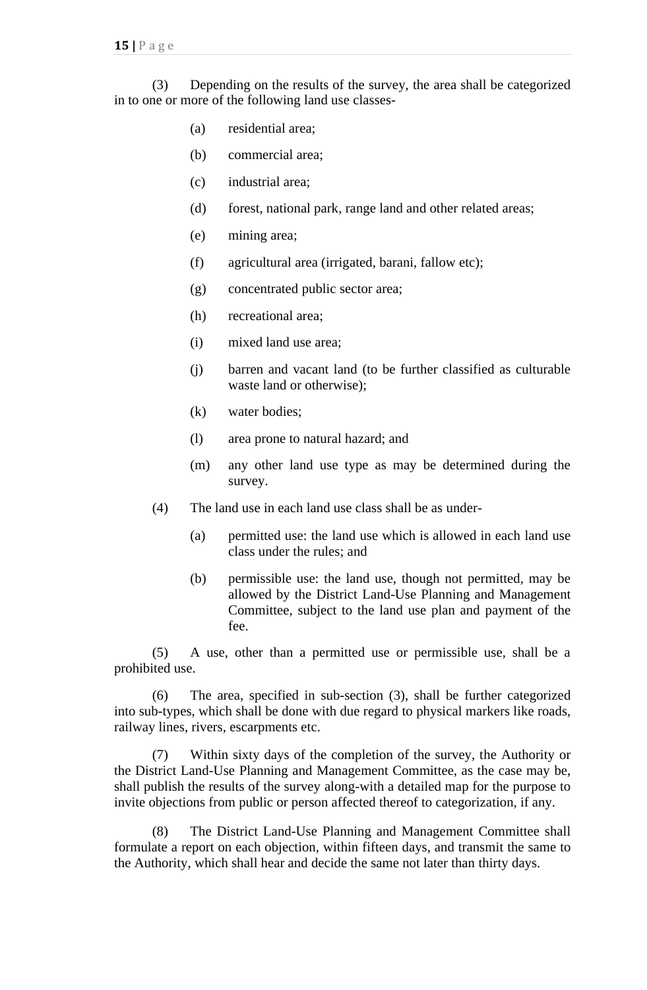(3) Depending on the results of the survey, the area shall be categorized in to one or more of the following land use classes-

- (a) residential area;
- (b) commercial area;
- (c) industrial area;
- (d) forest, national park, range land and other related areas;
- (e) mining area;
- (f) agricultural area (irrigated, barani, fallow etc);
- (g) concentrated public sector area;
- (h) recreational area;
- (i) mixed land use area;
- (j) barren and vacant land (to be further classified as culturable waste land or otherwise);
- (k) water bodies;
- (l) area prone to natural hazard; and
- (m) any other land use type as may be determined during the survey.
- (4) The land use in each land use class shall be as under-
	- (a) permitted use: the land use which is allowed in each land use class under the rules; and
	- (b) permissible use: the land use, though not permitted, may be allowed by the District Land-Use Planning and Management Committee, subject to the land use plan and payment of the fee.

(5) A use, other than a permitted use or permissible use, shall be a prohibited use.

(6) The area, specified in sub-section (3), shall be further categorized into sub-types, which shall be done with due regard to physical markers like roads, railway lines, rivers, escarpments etc.

(7) Within sixty days of the completion of the survey, the Authority or the District Land-Use Planning and Management Committee, as the case may be, shall publish the results of the survey along-with a detailed map for the purpose to invite objections from public or person affected thereof to categorization, if any.

(8) The District Land-Use Planning and Management Committee shall formulate a report on each objection, within fifteen days, and transmit the same to the Authority, which shall hear and decide the same not later than thirty days.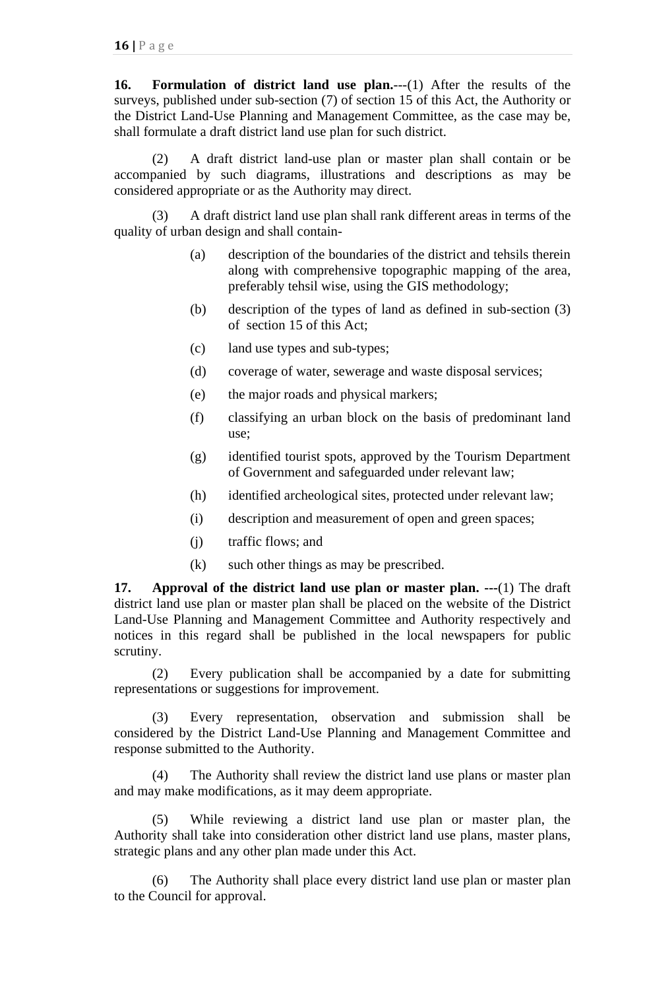**16. Formulation of district land use plan.**---(1) After the results of the surveys, published under sub-section (7) of section 15 of this Act, the Authority or the District Land-Use Planning and Management Committee, as the case may be, shall formulate a draft district land use plan for such district.

(2) A draft district land-use plan or master plan shall contain or be accompanied by such diagrams, illustrations and descriptions as may be considered appropriate or as the Authority may direct.

(3) A draft district land use plan shall rank different areas in terms of the quality of urban design and shall contain-

- (a) description of the boundaries of the district and tehsils therein along with comprehensive topographic mapping of the area, preferably tehsil wise, using the GIS methodology;
- (b) description of the types of land as defined in sub-section (3) of section 15 of this Act;
- (c) land use types and sub-types;
- (d) coverage of water, sewerage and waste disposal services;
- (e) the major roads and physical markers;
- (f) classifying an urban block on the basis of predominant land use;
- (g) identified tourist spots, approved by the Tourism Department of Government and safeguarded under relevant law;
- (h) identified archeological sites, protected under relevant law;
- (i) description and measurement of open and green spaces;
- (j) traffic flows; and
- (k) such other things as may be prescribed.

**17. Approval of the district land use plan or master plan. ---**(1) The draft district land use plan or master plan shall be placed on the website of the District Land-Use Planning and Management Committee and Authority respectively and notices in this regard shall be published in the local newspapers for public scrutiny.

(2) Every publication shall be accompanied by a date for submitting representations or suggestions for improvement.

(3) Every representation, observation and submission shall be considered by the District Land-Use Planning and Management Committee and response submitted to the Authority.

(4) The Authority shall review the district land use plans or master plan and may make modifications, as it may deem appropriate.

(5) While reviewing a district land use plan or master plan, the Authority shall take into consideration other district land use plans, master plans, strategic plans and any other plan made under this Act.

(6) The Authority shall place every district land use plan or master plan to the Council for approval.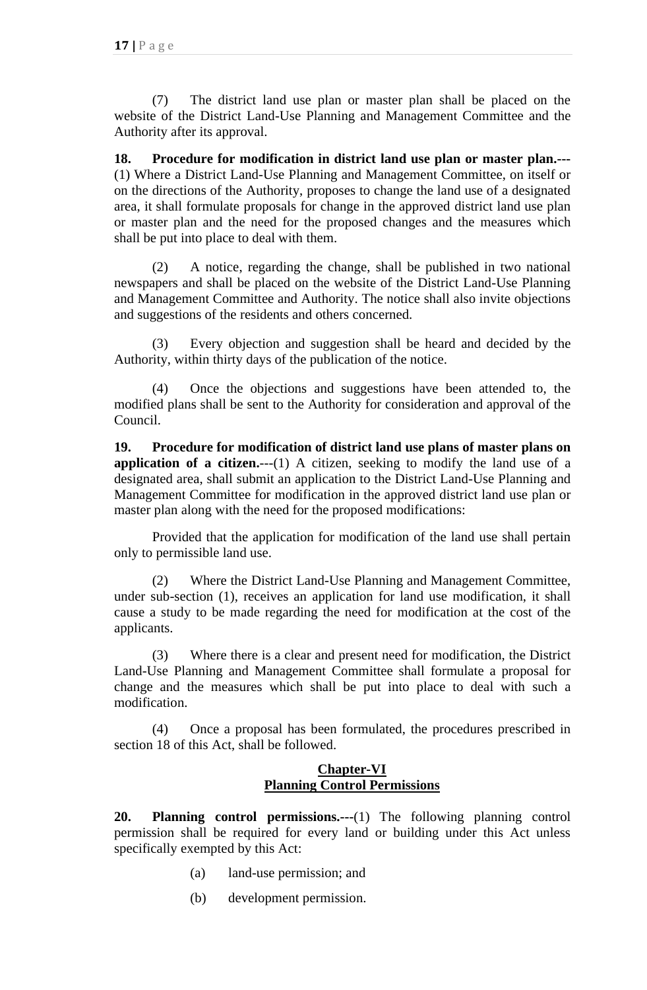(7) The district land use plan or master plan shall be placed on the website of the District Land-Use Planning and Management Committee and the Authority after its approval.

**18. Procedure for modification in district land use plan or master plan.---** (1) Where a District Land-Use Planning and Management Committee, on itself or on the directions of the Authority, proposes to change the land use of a designated area, it shall formulate proposals for change in the approved district land use plan or master plan and the need for the proposed changes and the measures which shall be put into place to deal with them.

(2) A notice, regarding the change, shall be published in two national newspapers and shall be placed on the website of the District Land-Use Planning and Management Committee and Authority. The notice shall also invite objections and suggestions of the residents and others concerned.

(3) Every objection and suggestion shall be heard and decided by the Authority, within thirty days of the publication of the notice.

(4) Once the objections and suggestions have been attended to, the modified plans shall be sent to the Authority for consideration and approval of the Council.

**19. Procedure for modification of district land use plans of master plans on application of a citizen.**---(1) A citizen, seeking to modify the land use of a designated area, shall submit an application to the District Land-Use Planning and Management Committee for modification in the approved district land use plan or master plan along with the need for the proposed modifications:

Provided that the application for modification of the land use shall pertain only to permissible land use.

(2) Where the District Land-Use Planning and Management Committee, under sub-section (1), receives an application for land use modification, it shall cause a study to be made regarding the need for modification at the cost of the applicants.

(3) Where there is a clear and present need for modification, the District Land-Use Planning and Management Committee shall formulate a proposal for change and the measures which shall be put into place to deal with such a modification.

(4) Once a proposal has been formulated, the procedures prescribed in section 18 of this Act, shall be followed.

### **Chapter-VI Planning Control Permissions**

**20. Planning control permissions.---**(1) The following planning control permission shall be required for every land or building under this Act unless specifically exempted by this Act:

- (a) land-use permission; and
- (b) development permission.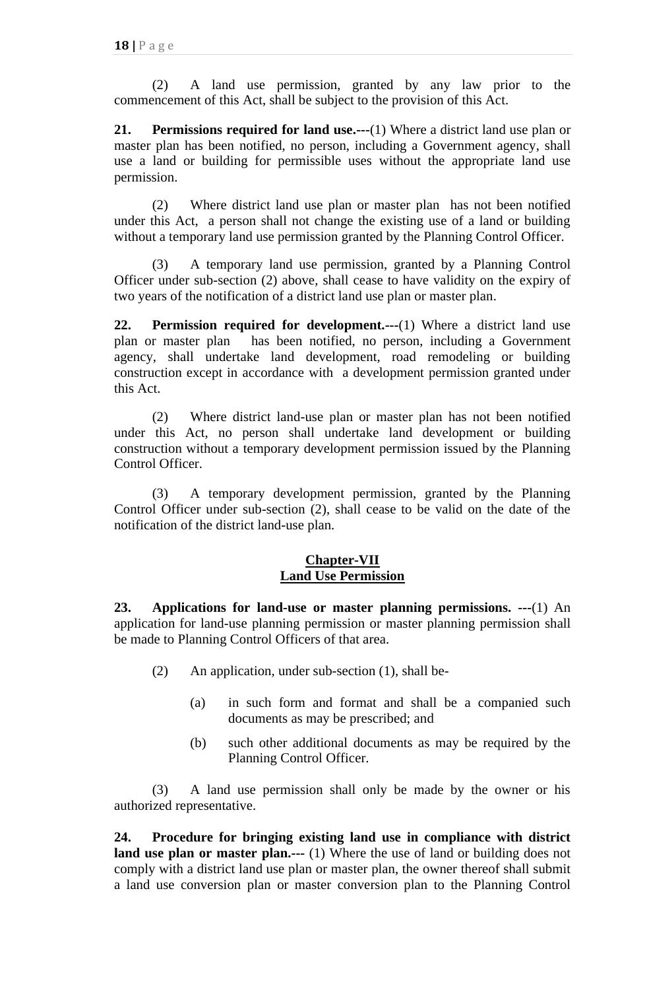(2) A land use permission, granted by any law prior to the commencement of this Act, shall be subject to the provision of this Act.

**21. Permissions required for land use.---**(1) Where a district land use plan or master plan has been notified, no person, including a Government agency, shall use a land or building for permissible uses without the appropriate land use permission.

(2) Where district land use plan or master plan has not been notified under this Act, a person shall not change the existing use of a land or building without a temporary land use permission granted by the Planning Control Officer.

(3) A temporary land use permission, granted by a Planning Control Officer under sub-section (2) above, shall cease to have validity on the expiry of two years of the notification of a district land use plan or master plan.

**22. Permission required for development.---**(1) Where a district land use plan or master plan has been notified, no person, including a Government agency, shall undertake land development, road remodeling or building construction except in accordance with a development permission granted under this Act.

(2) Where district land-use plan or master plan has not been notified under this Act, no person shall undertake land development or building construction without a temporary development permission issued by the Planning Control Officer.

(3) A temporary development permission, granted by the Planning Control Officer under sub-section (2), shall cease to be valid on the date of the notification of the district land-use plan.

### **Chapter-VII Land Use Permission**

**23. Applications for land-use or master planning permissions. ---**(1) An application for land-use planning permission or master planning permission shall be made to Planning Control Officers of that area.

- (2) An application, under sub-section (1), shall be-
	- (a) in such form and format and shall be a companied such documents as may be prescribed; and
	- (b) such other additional documents as may be required by the Planning Control Officer.

(3) A land use permission shall only be made by the owner or his authorized representative.

**24. Procedure for bringing existing land use in compliance with district land use plan or master plan.---** (1) Where the use of land or building does not comply with a district land use plan or master plan, the owner thereof shall submit a land use conversion plan or master conversion plan to the Planning Control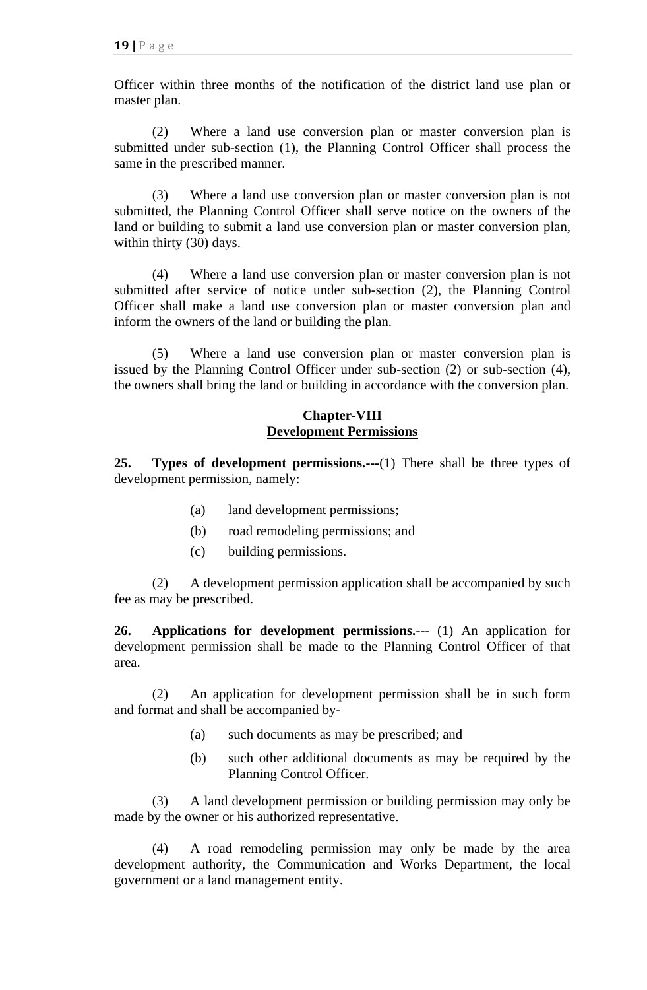Officer within three months of the notification of the district land use plan or master plan.

(2) Where a land use conversion plan or master conversion plan is submitted under sub-section (1), the Planning Control Officer shall process the same in the prescribed manner.

(3) Where a land use conversion plan or master conversion plan is not submitted, the Planning Control Officer shall serve notice on the owners of the land or building to submit a land use conversion plan or master conversion plan, within thirty (30) days.

(4) Where a land use conversion plan or master conversion plan is not submitted after service of notice under sub-section (2), the Planning Control Officer shall make a land use conversion plan or master conversion plan and inform the owners of the land or building the plan.

(5) Where a land use conversion plan or master conversion plan is issued by the Planning Control Officer under sub-section (2) or sub-section (4), the owners shall bring the land or building in accordance with the conversion plan.

### **Chapter-VIII Development Permissions**

**25. Types of development permissions.---**(1) There shall be three types of development permission, namely:

- (a) land development permissions;
- (b) road remodeling permissions; and
- (c) building permissions.

(2) A development permission application shall be accompanied by such fee as may be prescribed.

**26. Applications for development permissions.---** (1) An application for development permission shall be made to the Planning Control Officer of that area.

(2) An application for development permission shall be in such form and format and shall be accompanied by-

- (a) such documents as may be prescribed; and
- (b) such other additional documents as may be required by the Planning Control Officer.

(3) A land development permission or building permission may only be made by the owner or his authorized representative.

(4) A road remodeling permission may only be made by the area development authority, the Communication and Works Department, the local government or a land management entity.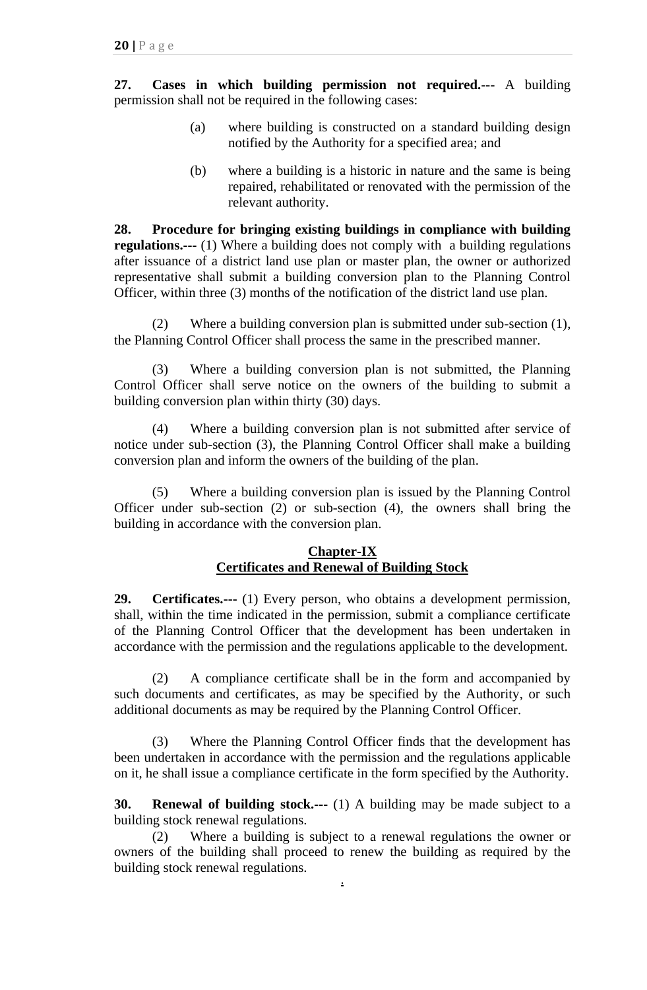**27. Cases in which building permission not required.---** A building permission shall not be required in the following cases:

- (a) where building is constructed on a standard building design notified by the Authority for a specified area; and
- (b) where a building is a historic in nature and the same is being repaired, rehabilitated or renovated with the permission of the relevant authority.

**28. Procedure for bringing existing buildings in compliance with building regulations.---** (1) Where a building does not comply with a building regulations after issuance of a district land use plan or master plan, the owner or authorized representative shall submit a building conversion plan to the Planning Control Officer, within three (3) months of the notification of the district land use plan.

(2) Where a building conversion plan is submitted under sub-section (1), the Planning Control Officer shall process the same in the prescribed manner.

(3) Where a building conversion plan is not submitted, the Planning Control Officer shall serve notice on the owners of the building to submit a building conversion plan within thirty (30) days.

(4) Where a building conversion plan is not submitted after service of notice under sub-section (3), the Planning Control Officer shall make a building conversion plan and inform the owners of the building of the plan.

(5) Where a building conversion plan is issued by the Planning Control Officer under sub-section (2) or sub-section (4), the owners shall bring the building in accordance with the conversion plan.

### **Chapter-IX Certificates and Renewal of Building Stock**

**29. Certificates.---** (1) Every person, who obtains a development permission, shall, within the time indicated in the permission, submit a compliance certificate of the Planning Control Officer that the development has been undertaken in accordance with the permission and the regulations applicable to the development.

(2) A compliance certificate shall be in the form and accompanied by such documents and certificates, as may be specified by the Authority, or such additional documents as may be required by the Planning Control Officer.

(3) Where the Planning Control Officer finds that the development has been undertaken in accordance with the permission and the regulations applicable on it, he shall issue a compliance certificate in the form specified by the Authority.

**30. Renewal of building stock.---** (1) A building may be made subject to a building stock renewal regulations.

(2) Where a building is subject to a renewal regulations the owner or owners of the building shall proceed to renew the building as required by the building stock renewal regulations. **.**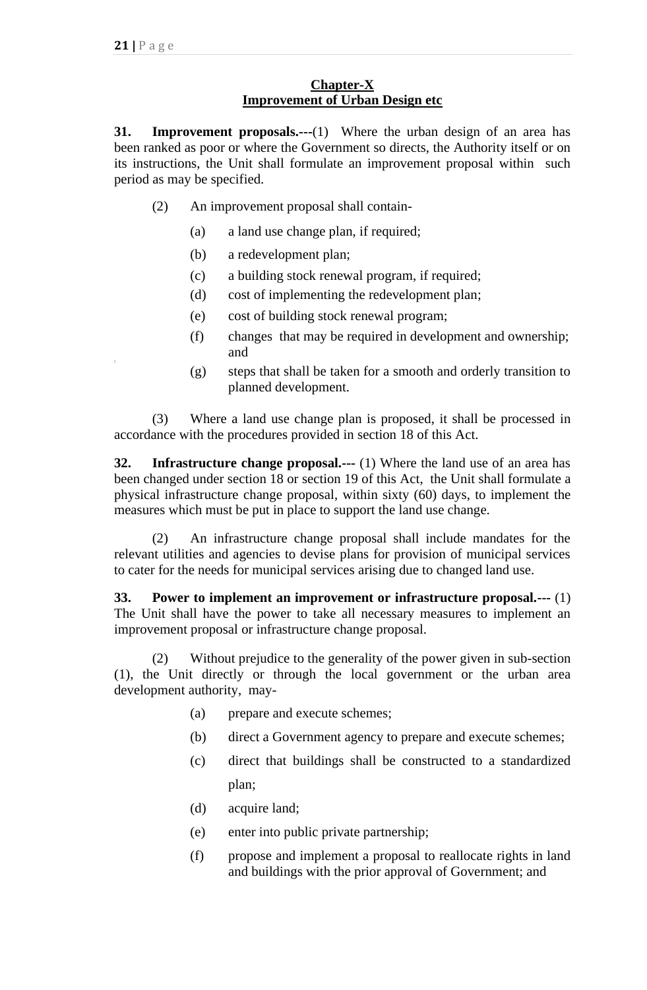## **Chapter-X Improvement of Urban Design etc**

**31. Improvement proposals.---**(1) Where the urban design of an area has been ranked as poor or where the Government so directs, the Authority itself or on its instructions, the Unit shall formulate an improvement proposal within such period as may be specified.

- (2) An improvement proposal shall contain-
	- (a) a land use change plan, if required;
	- (b) a redevelopment plan;
	- (c) a building stock renewal program, if required;
	- (d) cost of implementing the redevelopment plan;
	- (e) cost of building stock renewal program;
	- (f) changes that may be required in development and ownership; and
	- (g) steps that shall be taken for a smooth and orderly transition to planned development.

(3) Where a land use change plan is proposed, it shall be processed in accordance with the procedures provided in section 18 of this Act.

**32. Infrastructure change proposal.---** (1) Where the land use of an area has been changed under section 18 or section 19 of this Act, the Unit shall formulate a physical infrastructure change proposal, within sixty (60) days, to implement the measures which must be put in place to support the land use change.

(2) An infrastructure change proposal shall include mandates for the relevant utilities and agencies to devise plans for provision of municipal services to cater for the needs for municipal services arising due to changed land use.

**33. Power to implement an improvement or infrastructure proposal.---** (1) The Unit shall have the power to take all necessary measures to implement an improvement proposal or infrastructure change proposal.

(2) Without prejudice to the generality of the power given in sub-section (1), the Unit directly or through the local government or the urban area development authority, may-

- (a) prepare and execute schemes;
- (b) direct a Government agency to prepare and execute schemes;
- (c) direct that buildings shall be constructed to a standardized plan;
- (d) acquire land;
- (e) enter into public private partnership;
- (f) propose and implement a proposal to reallocate rights in land and buildings with the prior approval of Government; and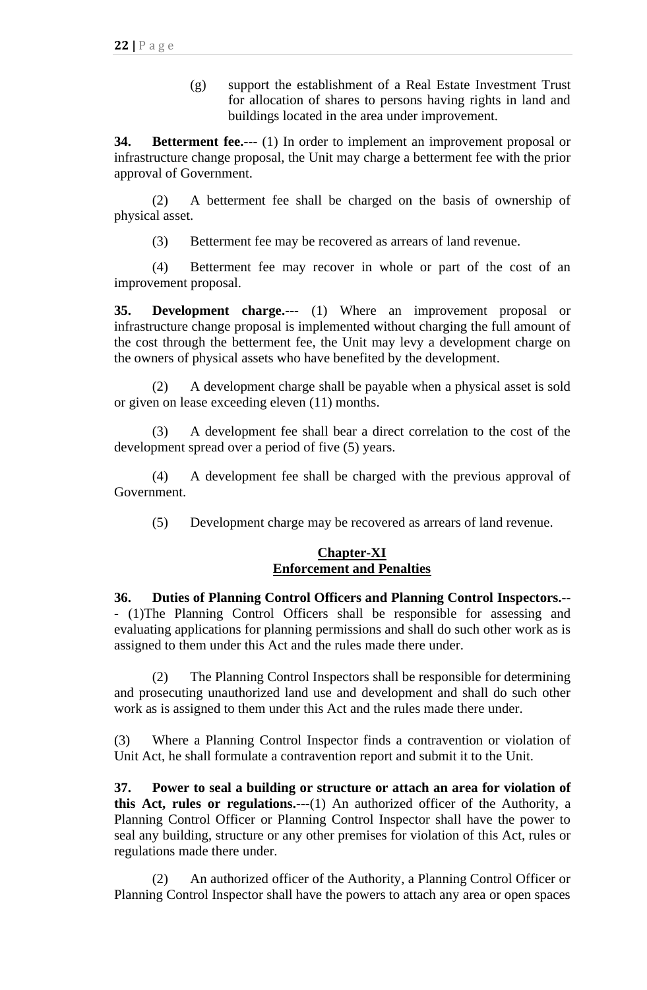(g) support the establishment of a Real Estate Investment Trust for allocation of shares to persons having rights in land and buildings located in the area under improvement.

**34. Betterment fee.---** (1) In order to implement an improvement proposal or infrastructure change proposal, the Unit may charge a betterment fee with the prior approval of Government.

(2) A betterment fee shall be charged on the basis of ownership of physical asset.

(3) Betterment fee may be recovered as arrears of land revenue.

(4) Betterment fee may recover in whole or part of the cost of an improvement proposal.

**35. Development charge.---** (1) Where an improvement proposal or infrastructure change proposal is implemented without charging the full amount of the cost through the betterment fee, the Unit may levy a development charge on the owners of physical assets who have benefited by the development.

(2) A development charge shall be payable when a physical asset is sold or given on lease exceeding eleven (11) months.

(3) A development fee shall bear a direct correlation to the cost of the development spread over a period of five (5) years.

(4) A development fee shall be charged with the previous approval of Government.

(5) Development charge may be recovered as arrears of land revenue.

### **Chapter-XI Enforcement and Penalties**

**36. Duties of Planning Control Officers and Planning Control Inspectors.-- -** (1)The Planning Control Officers shall be responsible for assessing and evaluating applications for planning permissions and shall do such other work as is assigned to them under this Act and the rules made there under.

(2) The Planning Control Inspectors shall be responsible for determining and prosecuting unauthorized land use and development and shall do such other work as is assigned to them under this Act and the rules made there under.

(3) Where a Planning Control Inspector finds a contravention or violation of Unit Act, he shall formulate a contravention report and submit it to the Unit.

**37. Power to seal a building or structure or attach an area for violation of this Act, rules or regulations.---**(1) An authorized officer of the Authority, a Planning Control Officer or Planning Control Inspector shall have the power to seal any building, structure or any other premises for violation of this Act, rules or regulations made there under.

(2) An authorized officer of the Authority, a Planning Control Officer or Planning Control Inspector shall have the powers to attach any area or open spaces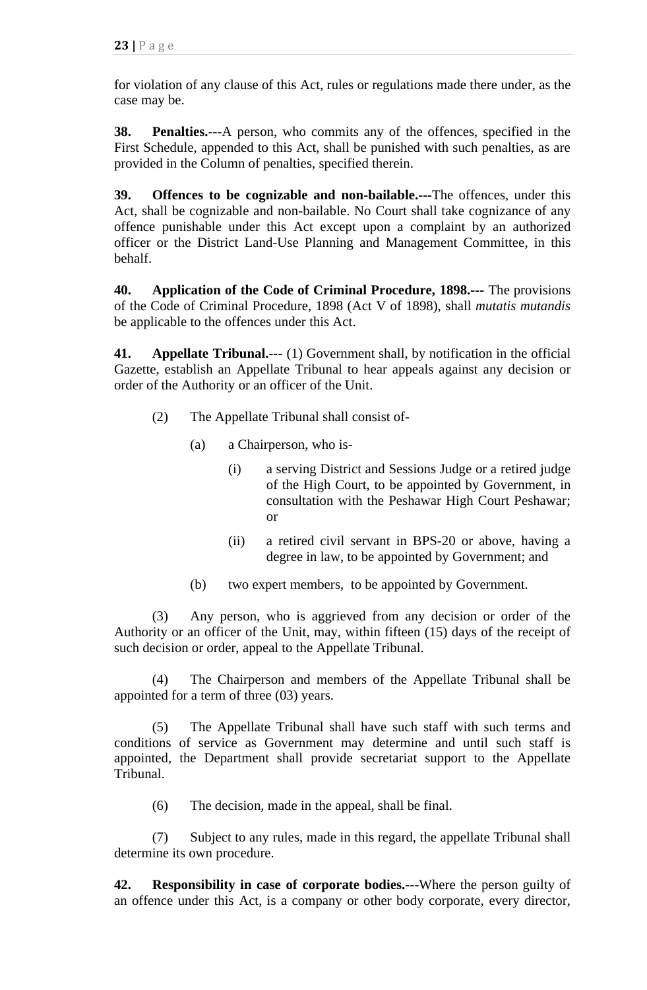for violation of any clause of this Act, rules or regulations made there under, as the case may be.

**38. Penalties.---**A person, who commits any of the offences, specified in the First Schedule, appended to this Act, shall be punished with such penalties, as are provided in the Column of penalties, specified therein.

**39. Offences to be cognizable and non-bailable.---**The offences, under this Act, shall be cognizable and non-bailable. No Court shall take cognizance of any offence punishable under this Act except upon a complaint by an authorized officer or the District Land-Use Planning and Management Committee, in this behalf.

**40. Application of the Code of Criminal Procedure, 1898.---** The provisions of the Code of Criminal Procedure, 1898 (Act V of 1898), shall *mutatis mutandis* be applicable to the offences under this Act.

**41. Appellate Tribunal.---** (1) Government shall, by notification in the official Gazette, establish an Appellate Tribunal to hear appeals against any decision or order of the Authority or an officer of the Unit.

- (2) The Appellate Tribunal shall consist of-
	- (a) a Chairperson, who is-
		- (i) a serving District and Sessions Judge or a retired judge of the High Court, to be appointed by Government, in consultation with the Peshawar High Court Peshawar; or
		- (ii) a retired civil servant in BPS-20 or above, having a degree in law, to be appointed by Government; and
	- (b) two expert members, to be appointed by Government.

(3) Any person, who is aggrieved from any decision or order of the Authority or an officer of the Unit, may, within fifteen (15) days of the receipt of such decision or order, appeal to the Appellate Tribunal.

(4) The Chairperson and members of the Appellate Tribunal shall be appointed for a term of three (03) years.

(5) The Appellate Tribunal shall have such staff with such terms and conditions of service as Government may determine and until such staff is appointed, the Department shall provide secretariat support to the Appellate Tribunal.

(6) The decision, made in the appeal, shall be final.

(7) Subject to any rules, made in this regard, the appellate Tribunal shall determine its own procedure.

**42. Responsibility in case of corporate bodies.---**Where the person guilty of an offence under this Act, is a company or other body corporate, every director,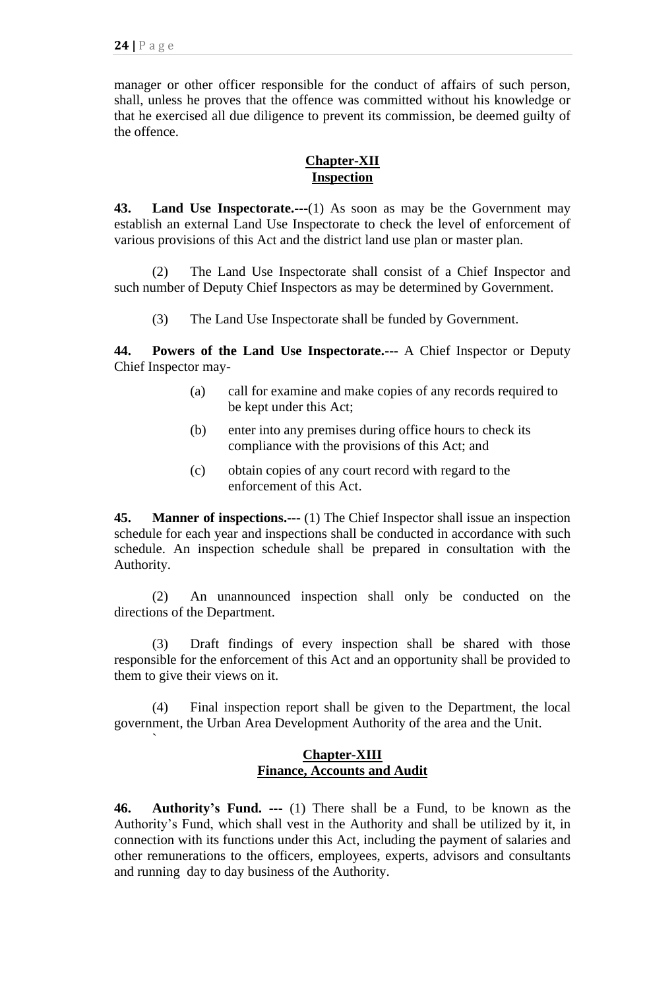`

manager or other officer responsible for the conduct of affairs of such person, shall, unless he proves that the offence was committed without his knowledge or that he exercised all due diligence to prevent its commission, be deemed guilty of the offence.

### **Chapter-XII Inspection**

**43. Land Use Inspectorate.---**(1) As soon as may be the Government may establish an external Land Use Inspectorate to check the level of enforcement of various provisions of this Act and the district land use plan or master plan.

(2) The Land Use Inspectorate shall consist of a Chief Inspector and such number of Deputy Chief Inspectors as may be determined by Government.

(3) The Land Use Inspectorate shall be funded by Government.

**44. Powers of the Land Use Inspectorate.---** A Chief Inspector or Deputy Chief Inspector may-

- (a) call for examine and make copies of any records required to be kept under this Act;
- (b) enter into any premises during office hours to check its compliance with the provisions of this Act; and
- (c) obtain copies of any court record with regard to the enforcement of this Act.

**45. Manner of inspections.---** (1) The Chief Inspector shall issue an inspection schedule for each year and inspections shall be conducted in accordance with such schedule. An inspection schedule shall be prepared in consultation with the Authority.

(2) An unannounced inspection shall only be conducted on the directions of the Department.

(3) Draft findings of every inspection shall be shared with those responsible for the enforcement of this Act and an opportunity shall be provided to them to give their views on it.

(4) Final inspection report shall be given to the Department, the local government, the Urban Area Development Authority of the area and the Unit.

## **Chapter-XIII Finance, Accounts and Audit**

**46. Authority's Fund. ---** (1) There shall be a Fund, to be known as the Authority's Fund, which shall vest in the Authority and shall be utilized by it, in connection with its functions under this Act, including the payment of salaries and other remunerations to the officers, employees, experts, advisors and consultants and running day to day business of the Authority.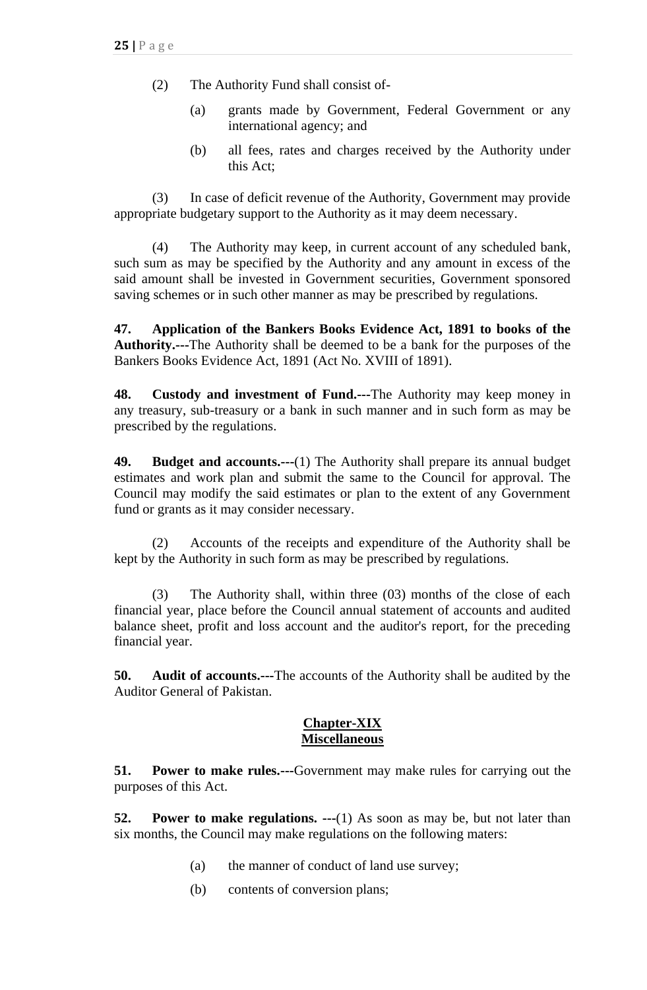- (2) The Authority Fund shall consist of-
	- (a) grants made by Government, Federal Government or any international agency; and
	- (b) all fees, rates and charges received by the Authority under this Act;

(3) In case of deficit revenue of the Authority, Government may provide appropriate budgetary support to the Authority as it may deem necessary.

(4) The Authority may keep, in current account of any scheduled bank, such sum as may be specified by the Authority and any amount in excess of the said amount shall be invested in Government securities, Government sponsored saving schemes or in such other manner as may be prescribed by regulations.

**47. Application of the Bankers Books Evidence Act, 1891 to books of the Authority.---**The Authority shall be deemed to be a bank for the purposes of the Bankers Books Evidence Act, 1891 (Act No. XVIII of 1891).

**48. Custody and investment of Fund.---**The Authority may keep money in any treasury, sub-treasury or a bank in such manner and in such form as may be prescribed by the regulations.

**49. Budget and accounts.---**(1) The Authority shall prepare its annual budget estimates and work plan and submit the same to the Council for approval. The Council may modify the said estimates or plan to the extent of any Government fund or grants as it may consider necessary.

(2) Accounts of the receipts and expenditure of the Authority shall be kept by the Authority in such form as may be prescribed by regulations.

(3) The Authority shall, within three (03) months of the close of each financial year, place before the Council annual statement of accounts and audited balance sheet, profit and loss account and the auditor's report, for the preceding financial year.

**50. Audit of accounts.---**The accounts of the Authority shall be audited by the Auditor General of Pakistan.

### **Chapter-XIX Miscellaneous**

**51. Power to make rules.---**Government may make rules for carrying out the purposes of this Act.

**52. Power to make regulations. ---**(1) As soon as may be, but not later than six months, the Council may make regulations on the following maters:

- (a) the manner of conduct of land use survey;
- (b) contents of conversion plans;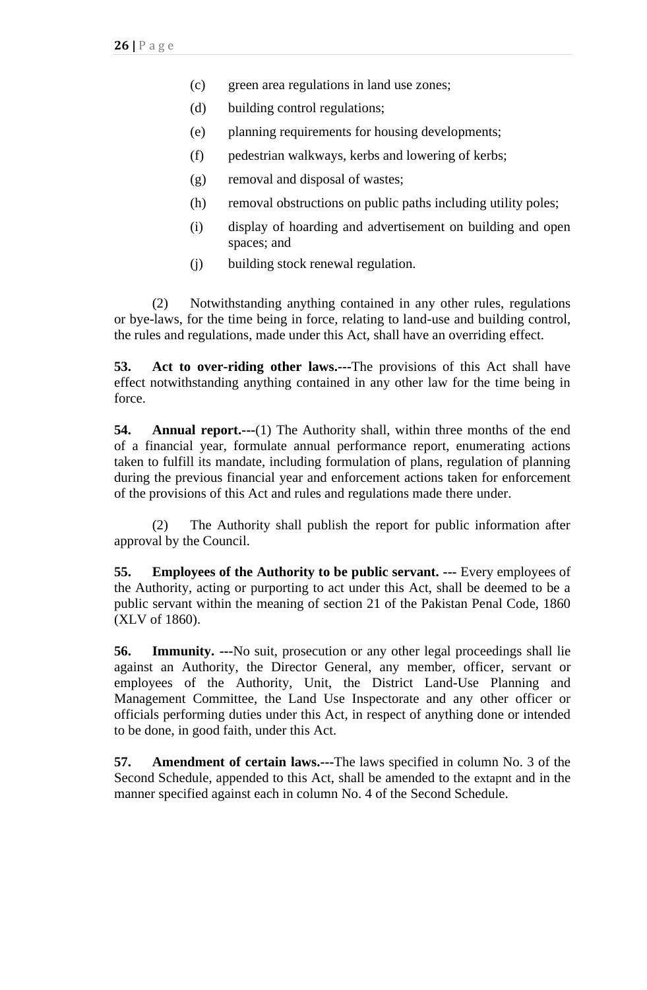- (c) green area regulations in land use zones;
- (d) building control regulations;
- (e) planning requirements for housing developments;
- (f) pedestrian walkways, kerbs and lowering of kerbs;
- (g) removal and disposal of wastes;
- (h) removal obstructions on public paths including utility poles;
- (i) display of hoarding and advertisement on building and open spaces; and
- (j) building stock renewal regulation.

(2) Notwithstanding anything contained in any other rules, regulations or bye-laws, for the time being in force, relating to land-use and building control, the rules and regulations, made under this Act, shall have an overriding effect.

**53. Act to over-riding other laws.---**The provisions of this Act shall have effect notwithstanding anything contained in any other law for the time being in force.

**54. Annual report.---**(1) The Authority shall, within three months of the end of a financial year, formulate annual performance report, enumerating actions taken to fulfill its mandate, including formulation of plans, regulation of planning during the previous financial year and enforcement actions taken for enforcement of the provisions of this Act and rules and regulations made there under.

(2) The Authority shall publish the report for public information after approval by the Council.

**55. Employees of the Authority to be public servant. ---** Every employees of the Authority, acting or purporting to act under this Act, shall be deemed to be a public servant within the meaning of section 21 of the Pakistan Penal Code, 1860 (XLV of 1860).

**56. Immunity. ---**No suit, prosecution or any other legal proceedings shall lie against an Authority, the Director General, any member, officer, servant or employees of the Authority, Unit, the District Land-Use Planning and Management Committee, the Land Use Inspectorate and any other officer or officials performing duties under this Act, in respect of anything done or intended to be done, in good faith, under this Act.

**57. Amendment of certain laws.---**The laws specified in column No. 3 of the Second Schedule, appended to this Act, shall be amended to the extapnt and in the manner specified against each in column No. 4 of the Second Schedule.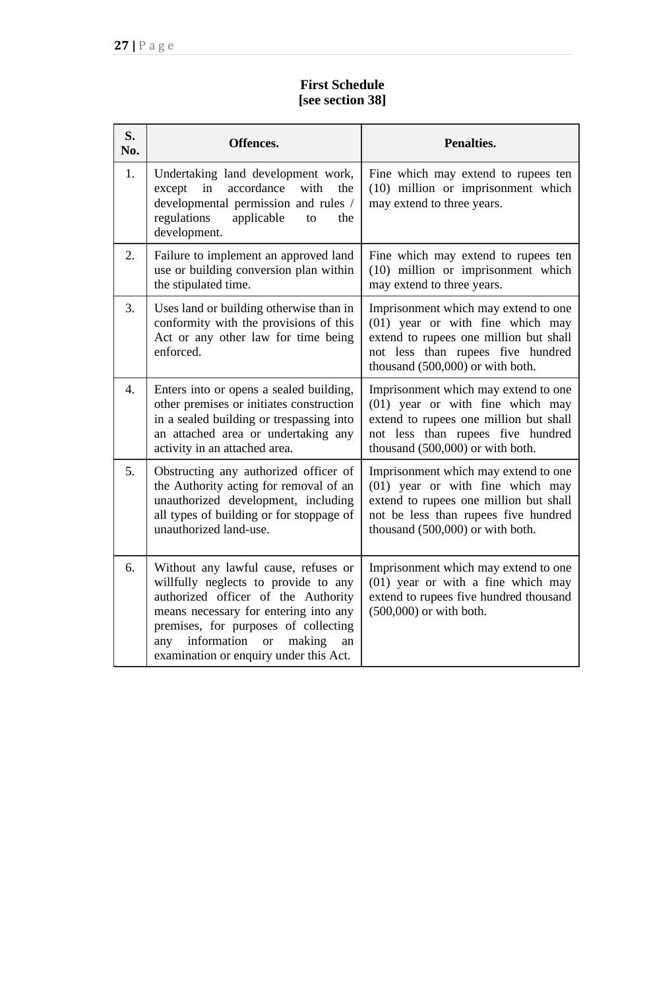# **First Schedule [see section 38]**

| S.<br>No.        | Offences.                                                                                                                                                                                                                                                                                         | <b>Penalties.</b>                                                                                                                                                                              |
|------------------|---------------------------------------------------------------------------------------------------------------------------------------------------------------------------------------------------------------------------------------------------------------------------------------------------|------------------------------------------------------------------------------------------------------------------------------------------------------------------------------------------------|
| 1.               | Undertaking land development work,<br>accordance<br>except<br>in<br>with<br>the<br>developmental permission and rules /<br>regulations<br>applicable<br>the<br>to<br>development.                                                                                                                 | Fine which may extend to rupees ten<br>(10) million or imprisonment which<br>may extend to three years.                                                                                        |
| 2.               | Failure to implement an approved land<br>use or building conversion plan within<br>the stipulated time.                                                                                                                                                                                           | Fine which may extend to rupees ten<br>(10) million or imprisonment which<br>may extend to three years.                                                                                        |
| 3.               | Uses land or building otherwise than in<br>conformity with the provisions of this<br>Act or any other law for time being<br>enforced.                                                                                                                                                             | Imprisonment which may extend to one<br>(01) year or with fine which may<br>extend to rupees one million but shall<br>not less than rupees five hundred<br>thousand (500,000) or with both.    |
| $\overline{4}$ . | Enters into or opens a sealed building,<br>other premises or initiates construction<br>in a sealed building or trespassing into<br>an attached area or undertaking any<br>activity in an attached area.                                                                                           | Imprisonment which may extend to one<br>(01) year or with fine which may<br>extend to rupees one million but shall<br>not less than rupees five hundred<br>thousand (500,000) or with both.    |
| 5.               | Obstructing any authorized officer of<br>the Authority acting for removal of an<br>unauthorized development, including<br>all types of building or for stoppage of<br>unauthorized land-use.                                                                                                      | Imprisonment which may extend to one<br>(01) year or with fine which may<br>extend to rupees one million but shall<br>not be less than rupees five hundred<br>thousand (500,000) or with both. |
| 6.               | Without any lawful cause, refuses or<br>willfully neglects to provide to any<br>authorized officer of the Authority<br>means necessary for entering into any<br>premises, for purposes of collecting<br>information<br>any<br><b>or</b><br>making<br>an<br>examination or enquiry under this Act. | Imprisonment which may extend to one<br>$(01)$ year or with a fine which may<br>extend to rupees five hundred thousand<br>(500,000) or with both.                                              |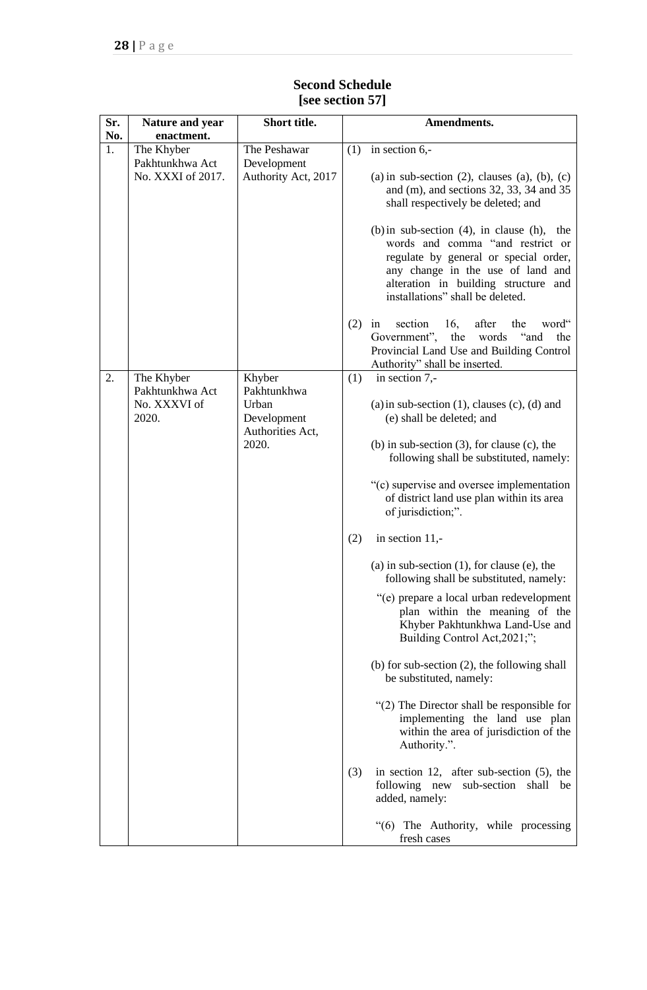#### **Sr. No. Nature and year enactment. Short title. Amendments.** 1. The Khyber Pakhtunkhwa Act No. XXXI of 2017. The Peshawar Development Authority Act, 2017  $(1)$  in section 6,- $(a)$  in sub-section  $(2)$ , clauses  $(a)$ ,  $(b)$ ,  $(c)$ and (m), and sections 32, 33, 34 and 35 shall respectively be deleted; and (b)in sub-section (4), in clause (h), the words and comma "and restrict or regulate by general or special order, any change in the use of land and alteration in building structure and installations" shall be deleted. (2) in section 16, after the word" Government", the words "and the Provincial Land Use and Building Control Authority" shall be inserted. 2. The Khyber Pakhtunkhwa Act No. XXXVI of 2020. Khyber Pakhtunkhwa **Urhan** Development Authorities Act, 2020.  $(1)$  in section 7,-(a) in sub-section  $(1)$ , clauses  $(c)$ ,  $(d)$  and (e) shall be deleted; and (b) in sub-section (3), for clause (c), the following shall be substituted, namely: "(c) supervise and oversee implementation of district land use plan within its area of jurisdiction;". (2) in section 11,- (a) in sub-section (1), for clause (e), the following shall be substituted, namely: "(e) prepare a local urban redevelopment plan within the meaning of the Khyber Pakhtunkhwa Land-Use and Building Control Act,2021;"; (b) for sub-section (2), the following shall be substituted, namely: "(2) The Director shall be responsible for implementing the land use plan within the area of jurisdiction of the Authority.". (3) in section 12, after sub-section (5), the following new sub-section shall be added, namely: "(6) The Authority, while processing fresh cases

## **Second Schedule [see section 57]**